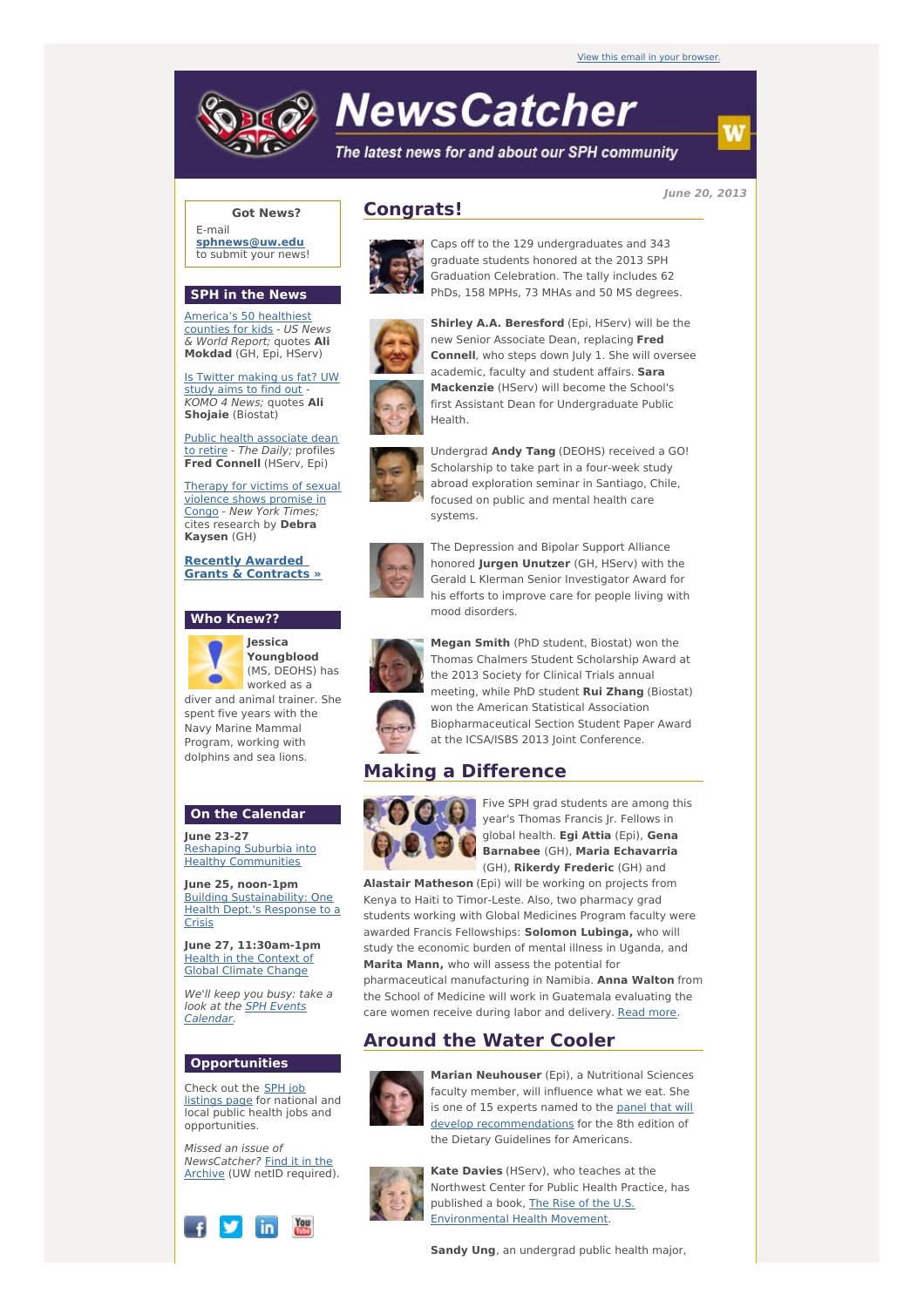

# **NewsCatcher**

The latest news for and about our SPH community

**June 20, 2013**

## **Got News?**

E-mail **[sphnews@uw.edu](mailto:sphnews@uw.edu)** to submit your news!

#### **SPH in the News**

[America's](http://engage.washington.edu/site/R?i=ieOp1itWv4LSZyo5dM7JJg) 50 healthiest counties for kids - US News & World Report; quotes **Ali Mokdad** (GH, Epi, HServ)

Is Twitter [making](http://engage.washington.edu/site/R?i=L2CYfq-ULizeJoRzxjxaZg) us fat? UW study aims to find out KOMO 4 News; quotes **Ali Shojaie** (Biostat)

Public health [associate](http://engage.washington.edu/site/R?i=SQPai9mQaKqrm6M1f2C9Jg) dean to retire - The Daily; profiles **Fred Connell** (HServ, Epi)

Therapy for victims of sexual [violence](http://engage.washington.edu/site/R?i=28X-4Hq5IEzyk7F7blKknw) shows promise in Congo - New York Times; cites research by **Debra Kaysen** (GH)

**Recently Awarded Grants & [Contracts](http://engage.washington.edu/site/R?i=P80-fbdnx4i-dQ-DiCxkKA) »**

## **Who Knew??**



**Youngblood** (MS, DEOHS) has worked as a

diver and animal trainer. She spent five years with the Navy Marine Mammal Program, working with dolphins and sea lions.

# **On the Calendar**

**June 23-27** Reshaping Suburbia into **Healthy [Communities](http://engage.washington.edu/site/R?i=200lKD9ZAV7IK3ji_pkd1A)** 

**June 25, noon-1pm** Building [Sustainability:](http://engage.washington.edu/site/R?i=xA3-UeSUeG21M9u1e8Fpqg) One Health Dept.'s Response to a **Crisis** 

**June 27, 11:30am-1pm** Health in the [Context](http://engage.washington.edu/site/R?i=g1bzAiV3G_ca7F3H3tETng) of Global Climate Change

We'll keep you busy: take a look at the **SPH Events** [Calendar.](http://engage.washington.edu/site/R?i=3iEvRCk-CAzpzeJ795E6rg)

#### **Opportunities**

Check out the SPH job [listings](http://engage.washington.edu/site/R?i=-RfFJdh9fnoNaw__RYoR0A) page for national and local public health jobs and opportunities.

Missed an issue of [NewsCatcher?](http://engage.washington.edu/site/R?i=lIQlXwKThmJTcJWaUz6V4A) Find it in the Archive (UW netID required).



## **Congrats!**



Caps off to the 129 undergraduates and 343 graduate students honored at the 2013 SPH Graduation Celebration. The tally includes 62 PhDs, 158 MPHs, 73 MHAs and 50 MS degrees.



**Shirley A.A. Beresford** (Epi, HServ) will be the new Senior Associate Dean, replacing **Fred Connell**, who steps down July 1. She will oversee academic, faculty and student affairs. **Sara Mackenzie** (HServ) will become the School's first Assistant Dean for Undergraduate Public Health.



Undergrad **Andy Tang** (DEOHS) received a GO! Scholarship to take part in a four-week study abroad exploration seminar in Santiago, Chile, focused on public and mental health care systems.



The Depression and Bipolar Support Alliance honored **Jurgen Unutzer** (GH, HServ) with the Gerald L Klerman Senior Investigator Award for his efforts to improve care for people living with mood disorders.



**Megan Smith** (PhD student, Biostat) won the Thomas Chalmers Student Scholarship Award at the 2013 Society for Clinical Trials annual meeting, while PhD student **Rui Zhang** (Biostat) won the American Statistical Association Biopharmaceutical Section Student Paper Award at the ICSA/ISBS 2013 Joint Conference.

# **Making a Difference**



Five SPH grad students are among this year's Thomas Francis Jr. Fellows in global health. **Egi Attia** (Epi), **Gena Barnabee** (GH), **Maria Echavarria** (GH), **Rikerdy Frederic** (GH) and

**Alastair Matheson** (Epi) will be working on projects from Kenya to Haiti to Timor-Leste. Also, two pharmacy grad students working with Global Medicines Program faculty were awarded Francis Fellowships: **Solomon Lubinga,** who will study the economic burden of mental illness in Uganda, and **Marita Mann,** who will assess the potential for pharmaceutical manufacturing in Namibia. **Anna Walton** from

the School of Medicine will work in Guatemala evaluating the care women receive during labor and delivery. [Read](http://engage.washington.edu/site/R?i=IhFihbTmn4qS46DBcnl7Sw) more.

# **Around the Water Cooler**



**Marian Neuhouser** (Epi), a Nutritional Sciences faculty member, will influence what we eat. She is one of 15 experts named to the panel that will develop [recommendations](http://engage.washington.edu/site/R?i=a79PVXBWtN4WOom6d2bD5Q) for the 8th edition of the Dietary Guidelines for Americans.



**Kate Davies** (HServ), who teaches at the Northwest Center for Public Health Practice, has published a book, The Rise of the U.S. [Environmental](http://engage.washington.edu/site/R?i=3pFWfzlDPfUW9sehaT5WzQ) Health Movement.

**Sandy Ung**, an undergrad public health major,